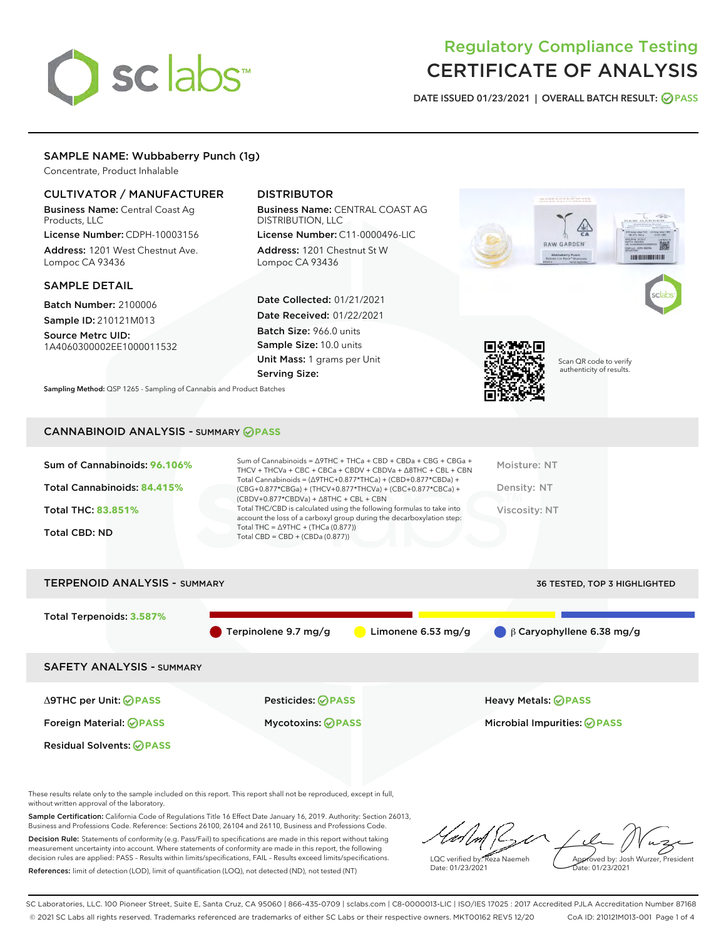# sclabs

# Regulatory Compliance Testing CERTIFICATE OF ANALYSIS

DATE ISSUED 01/23/2021 | OVERALL BATCH RESULT: @ PASS

# SAMPLE NAME: Wubbaberry Punch (1g)

Concentrate, Product Inhalable

# CULTIVATOR / MANUFACTURER

Business Name: Central Coast Ag Products, LLC

License Number: CDPH-10003156 Address: 1201 West Chestnut Ave. Lompoc CA 93436

#### SAMPLE DETAIL

Batch Number: 2100006 Sample ID: 210121M013

Source Metrc UID: 1A4060300002EE1000011532

# DISTRIBUTOR

Business Name: CENTRAL COAST AG DISTRIBUTION, LLC

License Number: C11-0000496-LIC Address: 1201 Chestnut St W Lompoc CA 93436

Date Collected: 01/21/2021 Date Received: 01/22/2021 Batch Size: 966.0 units Sample Size: 10.0 units Unit Mass: 1 grams per Unit Serving Size:



Scan QR code to verify authenticity of results.

*BURGHER DIE BE* 

Sampling Method: QSP 1265 - Sampling of Cannabis and Product Batches

## CANNABINOID ANALYSIS - SUMMARY **PASS**

| Sum of Cannabinoids: 96.106%<br>Total Cannabinoids: 84.415%<br><b>Total THC: 83.851%</b><br><b>Total CBD: ND</b> | Sum of Cannabinoids = $\triangle$ 9THC + THCa + CBD + CBDa + CBG + CBGa +<br>THCV + THCVa + CBC + CBCa + CBDV + CBDVa + $\Delta$ 8THC + CBL + CBN<br>Total Cannabinoids = $(\Delta$ 9THC+0.877*THCa) + (CBD+0.877*CBDa) +<br>(CBG+0.877*CBGa) + (THCV+0.877*THCVa) + (CBC+0.877*CBCa) +<br>$(CBDV+0.877*CBDVa) + \Delta 8THC + CBL + CBN$<br>Total THC/CBD is calculated using the following formulas to take into<br>account the loss of a carboxyl group during the decarboxylation step:<br>Total THC = $\triangle$ 9THC + (THCa (0.877))<br>Total CBD = $CBD + (CBDa (0.877))$ | Moisture: NT<br>Density: NT<br>Viscosity: NT |
|------------------------------------------------------------------------------------------------------------------|------------------------------------------------------------------------------------------------------------------------------------------------------------------------------------------------------------------------------------------------------------------------------------------------------------------------------------------------------------------------------------------------------------------------------------------------------------------------------------------------------------------------------------------------------------------------------------|----------------------------------------------|
| <b>TERPENOID ANALYSIS - SUMMARY</b>                                                                              |                                                                                                                                                                                                                                                                                                                                                                                                                                                                                                                                                                                    | <b>36 TESTED, TOP 3 HIGHLIGHTED</b>          |



These results relate only to the sample included on this report. This report shall not be reproduced, except in full, without written approval of the laboratory.

Sample Certification: California Code of Regulations Title 16 Effect Date January 16, 2019. Authority: Section 26013, Business and Professions Code. Reference: Sections 26100, 26104 and 26110, Business and Professions Code. Decision Rule: Statements of conformity (e.g. Pass/Fail) to specifications are made in this report without taking

measurement uncertainty into account. Where statements of conformity are made in this report, the following decision rules are applied: PASS – Results within limits/specifications, FAIL – Results exceed limits/specifications. References: limit of detection (LOD), limit of quantification (LOQ), not detected (ND), not tested (NT)

LQC verified by: Reza Naemeh Date: 01/23/2021 Approved by: Josh Wurzer, President Date: 01/23/2021

SC Laboratories, LLC. 100 Pioneer Street, Suite E, Santa Cruz, CA 95060 | 866-435-0709 | sclabs.com | C8-0000013-LIC | ISO/IES 17025 : 2017 Accredited PJLA Accreditation Number 87168 © 2021 SC Labs all rights reserved. Trademarks referenced are trademarks of either SC Labs or their respective owners. MKT00162 REV5 12/20 CoA ID: 210121M013-001 Page 1 of 4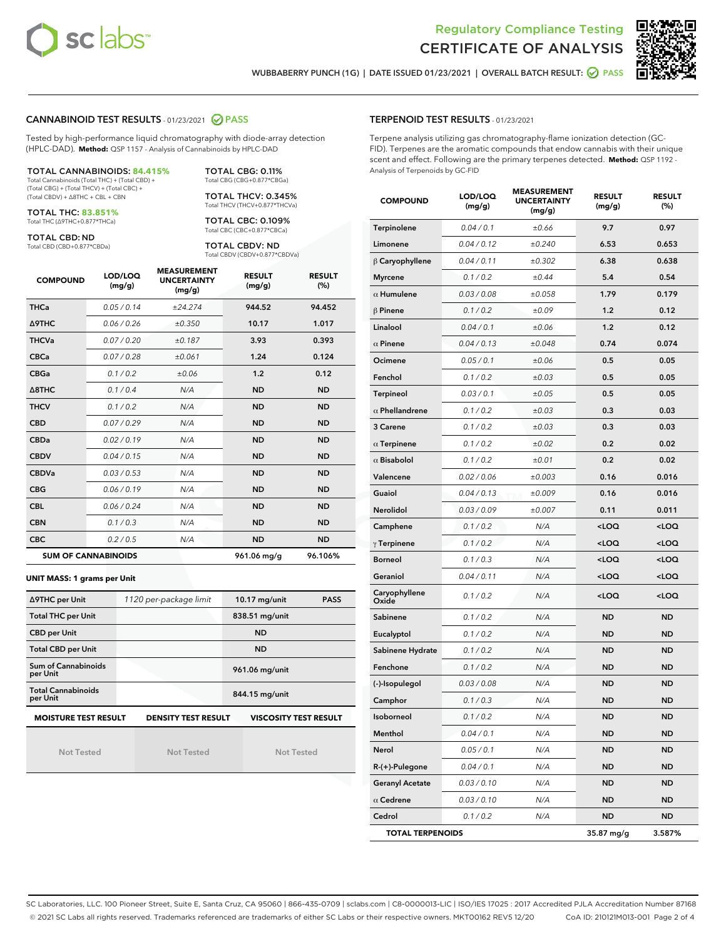



WUBBABERRY PUNCH (1G) | DATE ISSUED 01/23/2021 | OVERALL BATCH RESULT:  $\bigcirc$  PASS

## CANNABINOID TEST RESULTS - 01/23/2021 2 PASS

Tested by high-performance liquid chromatography with diode-array detection (HPLC-DAD). **Method:** QSP 1157 - Analysis of Cannabinoids by HPLC-DAD

#### TOTAL CANNABINOIDS: **84.415%**

Total Cannabinoids (Total THC) + (Total CBD) + (Total CBG) + (Total THCV) + (Total CBC) + (Total CBDV) + ∆8THC + CBL + CBN

TOTAL THC: **83.851%** Total THC (∆9THC+0.877\*THCa)

TOTAL CBD: ND

Total CBD (CBD+0.877\*CBDa)

TOTAL CBG: 0.11% Total CBG (CBG+0.877\*CBGa) TOTAL THCV: 0.345%

Total THCV (THCV+0.877\*THCVa)

TOTAL CBC: 0.109% Total CBC (CBC+0.877\*CBCa)

TOTAL CBDV: ND Total CBDV (CBDV+0.877\*CBDVa)

| <b>COMPOUND</b>  | LOD/LOQ<br>(mg/g)          | <b>MEASUREMENT</b><br><b>UNCERTAINTY</b><br>(mg/g) | <b>RESULT</b><br>(mg/g) | <b>RESULT</b><br>(%) |
|------------------|----------------------------|----------------------------------------------------|-------------------------|----------------------|
| <b>THCa</b>      | 0.05/0.14                  | ±24.274                                            | 944.52                  | 94.452               |
| <b>A9THC</b>     | 0.06 / 0.26                | ±0.350                                             | 10.17                   | 1.017                |
| <b>THCVa</b>     | 0.07/0.20                  | ±0.187                                             | 3.93                    | 0.393                |
| <b>CBCa</b>      | 0.07/0.28                  | ±0.061                                             | 1.24                    | 0.124                |
| <b>CBGa</b>      | 0.1 / 0.2                  | ±0.06                                              | 1.2                     | 0.12                 |
| $\triangle$ 8THC | 0.1/0.4                    | N/A                                                | <b>ND</b>               | <b>ND</b>            |
| <b>THCV</b>      | 0.1/0.2                    | N/A                                                | <b>ND</b>               | <b>ND</b>            |
| <b>CBD</b>       | 0.07/0.29                  | N/A                                                | <b>ND</b>               | <b>ND</b>            |
| <b>CBDa</b>      | 0.02/0.19                  | N/A                                                | <b>ND</b>               | <b>ND</b>            |
| <b>CBDV</b>      | 0.04 / 0.15                | N/A                                                | <b>ND</b>               | <b>ND</b>            |
| <b>CBDVa</b>     | 0.03/0.53                  | N/A                                                | <b>ND</b>               | <b>ND</b>            |
| <b>CBG</b>       | 0.06/0.19                  | N/A                                                | <b>ND</b>               | <b>ND</b>            |
| <b>CBL</b>       | 0.06 / 0.24                | N/A                                                | <b>ND</b>               | <b>ND</b>            |
| <b>CBN</b>       | 0.1/0.3                    | N/A                                                | <b>ND</b>               | <b>ND</b>            |
| <b>CBC</b>       | 0.2 / 0.5                  | N/A                                                | <b>ND</b>               | <b>ND</b>            |
|                  | <b>SUM OF CANNABINOIDS</b> |                                                    | 961.06 mg/g             | 96.106%              |

#### **UNIT MASS: 1 grams per Unit**

| ∆9THC per Unit                                                                            | 1120 per-package limit | $10.17$ mg/unit<br><b>PASS</b> |  |  |  |
|-------------------------------------------------------------------------------------------|------------------------|--------------------------------|--|--|--|
| <b>Total THC per Unit</b>                                                                 |                        | 838.51 mg/unit                 |  |  |  |
| <b>CBD per Unit</b>                                                                       |                        | <b>ND</b>                      |  |  |  |
| <b>Total CBD per Unit</b>                                                                 |                        | <b>ND</b>                      |  |  |  |
| Sum of Cannabinoids<br>per Unit                                                           |                        | 961.06 mg/unit                 |  |  |  |
| <b>Total Cannabinoids</b><br>per Unit                                                     |                        | 844.15 mg/unit                 |  |  |  |
| <b>MOISTURE TEST RESULT</b><br><b>VISCOSITY TEST RESULT</b><br><b>DENSITY TEST RESULT</b> |                        |                                |  |  |  |

Not Tested

Not Tested

Not Tested

#### TERPENOID TEST RESULTS - 01/23/2021

Terpene analysis utilizing gas chromatography-flame ionization detection (GC-FID). Terpenes are the aromatic compounds that endow cannabis with their unique scent and effect. Following are the primary terpenes detected. **Method:** QSP 1192 - Analysis of Terpenoids by GC-FID

| <b>COMPOUND</b>         | LOD/LOQ<br>(mg/g) | <b>MEASUREMENT</b><br><b>UNCERTAINTY</b><br>(mg/g) | <b>RESULT</b><br>(mg/g)                          | <b>RESULT</b><br>$(\%)$ |
|-------------------------|-------------------|----------------------------------------------------|--------------------------------------------------|-------------------------|
| Terpinolene             | 0.04 / 0.1        | ±0.66                                              | 9.7                                              | 0.97                    |
| Limonene                | 0.04 / 0.12       | ±0.240                                             | 6.53                                             | 0.653                   |
| $\beta$ Caryophyllene   | 0.04 / 0.11       | ±0.302                                             | 6.38                                             | 0.638                   |
| <b>Myrcene</b>          | 0.1 / 0.2         | ±0.44                                              | 5.4                                              | 0.54                    |
| $\alpha$ Humulene       | 0.03 / 0.08       | ±0.058                                             | 1.79                                             | 0.179                   |
| <b>B</b> Pinene         | 0.1 / 0.2         | ±0.09                                              | 1.2                                              | 0.12                    |
| Linalool                | 0.04 / 0.1        | ±0.06                                              | 1.2                                              | 0.12                    |
| $\alpha$ Pinene         | 0.04 / 0.13       | ±0.048                                             | 0.74                                             | 0.074                   |
| Ocimene                 | 0.05 / 0.1        | ±0.06                                              | 0.5                                              | 0.05                    |
| Fenchol                 | 0.1 / 0.2         | ±0.03                                              | 0.5                                              | 0.05                    |
| <b>Terpineol</b>        | 0.03 / 0.1        | ±0.05                                              | 0.5                                              | 0.05                    |
| $\alpha$ Phellandrene   | 0.1 / 0.2         | ±0.03                                              | 0.3                                              | 0.03                    |
| 3 Carene                | 0.1 / 0.2         | ±0.03                                              | 0.3                                              | 0.03                    |
| $\alpha$ Terpinene      | 0.1 / 0.2         | ±0.02                                              | 0.2                                              | 0.02                    |
| $\alpha$ Bisabolol      | 0.1 / 0.2         | ±0.01                                              | 0.2                                              | 0.02                    |
| Valencene               | 0.02 / 0.06       | ±0.003                                             | 0.16                                             | 0.016                   |
| Guaiol                  | 0.04/0.13         | ±0.009                                             | 0.16                                             | 0.016                   |
| Nerolidol               | 0.03 / 0.09       | ±0.007                                             | 0.11                                             | 0.011                   |
| Camphene                | 0.1 / 0.2         | N/A                                                | <loq< th=""><th><math>&lt;</math>LOQ</th></loq<> | $<$ LOQ                 |
| $\gamma$ Terpinene      | 0.1 / 0.2         | N/A                                                | <loq< th=""><th><loq< th=""></loq<></th></loq<>  | <loq< th=""></loq<>     |
| <b>Borneol</b>          | 0.1 / 0.3         | N/A                                                | <loq< th=""><th><loq< th=""></loq<></th></loq<>  | <loq< th=""></loq<>     |
| Geraniol                | 0.04 / 0.11       | N/A                                                | <loq< th=""><th><math>&lt;</math>LOQ</th></loq<> | $<$ LOQ                 |
| Caryophyllene<br>Oxide  | 0.1 / 0.2         | N/A                                                | <loq< th=""><th><loq< th=""></loq<></th></loq<>  | <loq< th=""></loq<>     |
| Sabinene                | 0.1 / 0.2         | N/A                                                | <b>ND</b>                                        | <b>ND</b>               |
| Eucalyptol              | 0.1 / 0.2         | N/A                                                | <b>ND</b>                                        | <b>ND</b>               |
| Sabinene Hydrate        | 0.1 / 0.2         | N/A                                                | <b>ND</b>                                        | <b>ND</b>               |
| Fenchone                | 0.1 / 0.2         | N/A                                                | <b>ND</b>                                        | <b>ND</b>               |
| (-)-Isopulegol          | 0.03 / 0.08       | N/A                                                | <b>ND</b>                                        | <b>ND</b>               |
| Camphor                 | 0.1 / 0.3         | N/A                                                | <b>ND</b>                                        | <b>ND</b>               |
| Isoborneol              | 0.1 / 0.2         | N/A                                                | <b>ND</b>                                        | <b>ND</b>               |
| Menthol                 | 0.04 / 0.1        | N/A                                                | <b>ND</b>                                        | ND                      |
| Nerol                   | 0.05 / 0.1        | N/A                                                | <b>ND</b>                                        | ND                      |
| $R-(+)$ -Pulegone       | 0.04 / 0.1        | N/A                                                | ND                                               | ND                      |
| <b>Geranyl Acetate</b>  | 0.03 / 0.10       | N/A                                                | <b>ND</b>                                        | ND                      |
| $\alpha$ Cedrene        | 0.03 / 0.10       | N/A                                                | <b>ND</b>                                        | <b>ND</b>               |
| Cedrol                  | 0.1 / 0.2         | N/A                                                | <b>ND</b>                                        | ND                      |
| <b>TOTAL TERPENOIDS</b> |                   |                                                    | 35.87 mg/g                                       | 3.587%                  |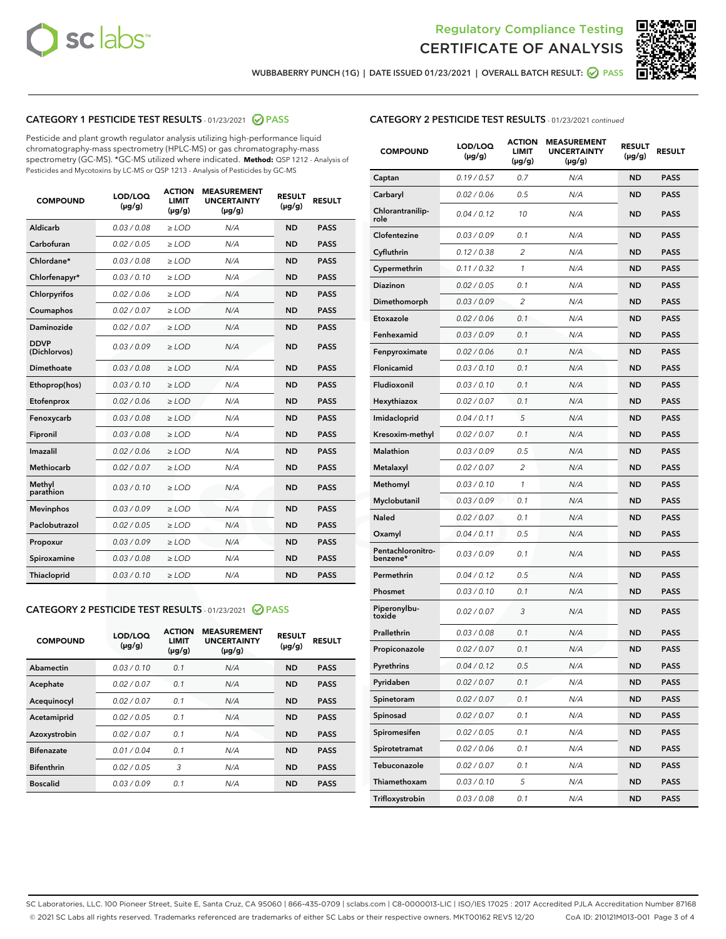



WUBBABERRY PUNCH (1G) | DATE ISSUED 01/23/2021 | OVERALL BATCH RESULT: @ PASS

# CATEGORY 1 PESTICIDE TEST RESULTS - 01/23/2021 2 PASS

Pesticide and plant growth regulator analysis utilizing high-performance liquid chromatography-mass spectrometry (HPLC-MS) or gas chromatography-mass spectrometry (GC-MS). \*GC-MS utilized where indicated. **Method:** QSP 1212 - Analysis of Pesticides and Mycotoxins by LC-MS or QSP 1213 - Analysis of Pesticides by GC-MS

| <b>COMPOUND</b>             | LOD/LOQ<br>$(\mu g/g)$ | <b>ACTION</b><br><b>LIMIT</b><br>$(\mu q/q)$ | <b>MEASUREMENT</b><br><b>UNCERTAINTY</b><br>$(\mu g/g)$ | <b>RESULT</b><br>$(\mu g/g)$ | <b>RESULT</b> |
|-----------------------------|------------------------|----------------------------------------------|---------------------------------------------------------|------------------------------|---------------|
| Aldicarb                    | 0.03 / 0.08            | $\ge$ LOD                                    | N/A                                                     | <b>ND</b>                    | <b>PASS</b>   |
| Carbofuran                  | 0.02 / 0.05            | $\ge$ LOD                                    | N/A                                                     | <b>ND</b>                    | <b>PASS</b>   |
| Chlordane*                  | 0.03 / 0.08            | $\ge$ LOD                                    | N/A                                                     | <b>ND</b>                    | <b>PASS</b>   |
| Chlorfenapyr*               | 0.03/0.10              | $\ge$ LOD                                    | N/A                                                     | <b>ND</b>                    | <b>PASS</b>   |
| Chlorpyrifos                | 0.02 / 0.06            | $\ge$ LOD                                    | N/A                                                     | <b>ND</b>                    | <b>PASS</b>   |
| Coumaphos                   | 0.02 / 0.07            | $\ge$ LOD                                    | N/A                                                     | <b>ND</b>                    | <b>PASS</b>   |
| Daminozide                  | 0.02 / 0.07            | $\ge$ LOD                                    | N/A                                                     | <b>ND</b>                    | <b>PASS</b>   |
| <b>DDVP</b><br>(Dichlorvos) | 0.03/0.09              | $>$ LOD                                      | N/A                                                     | <b>ND</b>                    | <b>PASS</b>   |
| Dimethoate                  | 0.03 / 0.08            | $\ge$ LOD                                    | N/A                                                     | <b>ND</b>                    | <b>PASS</b>   |
| Ethoprop(hos)               | 0.03/0.10              | $\ge$ LOD                                    | N/A                                                     | <b>ND</b>                    | <b>PASS</b>   |
| Etofenprox                  | 0.02/0.06              | $>$ LOD                                      | N/A                                                     | <b>ND</b>                    | <b>PASS</b>   |
| Fenoxycarb                  | 0.03 / 0.08            | $\ge$ LOD                                    | N/A                                                     | <b>ND</b>                    | <b>PASS</b>   |
| Fipronil                    | 0.03/0.08              | $>$ LOD                                      | N/A                                                     | <b>ND</b>                    | <b>PASS</b>   |
| Imazalil                    | 0.02 / 0.06            | $\ge$ LOD                                    | N/A                                                     | <b>ND</b>                    | <b>PASS</b>   |
| Methiocarb                  | 0.02 / 0.07            | $\ge$ LOD                                    | N/A                                                     | <b>ND</b>                    | <b>PASS</b>   |
| Methyl<br>parathion         | 0.03/0.10              | $>$ LOD                                      | N/A                                                     | <b>ND</b>                    | <b>PASS</b>   |
| <b>Mevinphos</b>            | 0.03/0.09              | $>$ LOD                                      | N/A                                                     | <b>ND</b>                    | <b>PASS</b>   |
| Paclobutrazol               | 0.02 / 0.05            | $\ge$ LOD                                    | N/A                                                     | <b>ND</b>                    | <b>PASS</b>   |
| Propoxur                    | 0.03 / 0.09            | $\ge$ LOD                                    | N/A                                                     | <b>ND</b>                    | <b>PASS</b>   |
| Spiroxamine                 | 0.03 / 0.08            | $\ge$ LOD                                    | N/A                                                     | <b>ND</b>                    | <b>PASS</b>   |
| Thiacloprid                 | 0.03/0.10              | $\ge$ LOD                                    | N/A                                                     | <b>ND</b>                    | <b>PASS</b>   |

#### CATEGORY 2 PESTICIDE TEST RESULTS - 01/23/2021 @ PASS

| <b>COMPOUND</b>   | LOD/LOQ<br>$(\mu g/g)$ | <b>ACTION</b><br><b>LIMIT</b><br>$(\mu g/g)$ | <b>MEASUREMENT</b><br><b>UNCERTAINTY</b><br>$(\mu g/g)$ | <b>RESULT</b><br>$(\mu g/g)$ | <b>RESULT</b> |
|-------------------|------------------------|----------------------------------------------|---------------------------------------------------------|------------------------------|---------------|
| Abamectin         | 0.03/0.10              | 0.1                                          | N/A                                                     | <b>ND</b>                    | <b>PASS</b>   |
| Acephate          | 0.02/0.07              | 0.1                                          | N/A                                                     | <b>ND</b>                    | <b>PASS</b>   |
| Acequinocyl       | 0.02/0.07              | 0.1                                          | N/A                                                     | <b>ND</b>                    | <b>PASS</b>   |
| Acetamiprid       | 0.02/0.05              | 0.1                                          | N/A                                                     | <b>ND</b>                    | <b>PASS</b>   |
| Azoxystrobin      | 0.02/0.07              | 0.1                                          | N/A                                                     | <b>ND</b>                    | <b>PASS</b>   |
| <b>Bifenazate</b> | 0.01/0.04              | 0.1                                          | N/A                                                     | <b>ND</b>                    | <b>PASS</b>   |
| <b>Bifenthrin</b> | 0.02/0.05              | 3                                            | N/A                                                     | <b>ND</b>                    | <b>PASS</b>   |
| <b>Boscalid</b>   | 0.03/0.09              | 0.1                                          | N/A                                                     | <b>ND</b>                    | <b>PASS</b>   |

| <b>CATEGORY 2 PESTICIDE TEST RESULTS</b> - 01/23/2021 continued |
|-----------------------------------------------------------------|
|-----------------------------------------------------------------|

| <b>COMPOUND</b>               | LOD/LOQ<br>(µg/g) | <b>ACTION</b><br>LIMIT<br>$(\mu g/g)$ | <b>MEASUREMENT</b><br><b>UNCERTAINTY</b><br>$(\mu g/g)$ | <b>RESULT</b><br>(µg/g) | <b>RESULT</b> |
|-------------------------------|-------------------|---------------------------------------|---------------------------------------------------------|-------------------------|---------------|
| Captan                        | 0.19/0.57         | 0.7                                   | N/A                                                     | <b>ND</b>               | <b>PASS</b>   |
| Carbaryl                      | 0.02 / 0.06       | 0.5                                   | N/A                                                     | <b>ND</b>               | <b>PASS</b>   |
| Chlorantranilip-<br>role      | 0.04 / 0.12       | 10                                    | N/A                                                     | <b>ND</b>               | <b>PASS</b>   |
| Clofentezine                  | 0.03 / 0.09       | 0.1                                   | N/A                                                     | <b>ND</b>               | <b>PASS</b>   |
| Cyfluthrin                    | 0.12 / 0.38       | 2                                     | N/A                                                     | <b>ND</b>               | <b>PASS</b>   |
| Cypermethrin                  | 0.11 / 0.32       | 1                                     | N/A                                                     | <b>ND</b>               | <b>PASS</b>   |
| <b>Diazinon</b>               | 0.02 / 0.05       | 0.1                                   | N/A                                                     | <b>ND</b>               | <b>PASS</b>   |
| Dimethomorph                  | 0.03 / 0.09       | 2                                     | N/A                                                     | <b>ND</b>               | <b>PASS</b>   |
| Etoxazole                     | 0.02 / 0.06       | 0.1                                   | N/A                                                     | <b>ND</b>               | <b>PASS</b>   |
| Fenhexamid                    | 0.03 / 0.09       | 0.1                                   | N/A                                                     | <b>ND</b>               | <b>PASS</b>   |
| Fenpyroximate                 | 0.02 / 0.06       | 0.1                                   | N/A                                                     | <b>ND</b>               | <b>PASS</b>   |
| Flonicamid                    | 0.03 / 0.10       | 0.1                                   | N/A                                                     | <b>ND</b>               | <b>PASS</b>   |
| Fludioxonil                   | 0.03 / 0.10       | 0.1                                   | N/A                                                     | <b>ND</b>               | <b>PASS</b>   |
| Hexythiazox                   | 0.02 / 0.07       | 0.1                                   | N/A                                                     | <b>ND</b>               | <b>PASS</b>   |
| Imidacloprid                  | 0.04 / 0.11       | 5                                     | N/A                                                     | <b>ND</b>               | <b>PASS</b>   |
| Kresoxim-methyl               | 0.02 / 0.07       | 0.1                                   | N/A                                                     | <b>ND</b>               | <b>PASS</b>   |
| Malathion                     | 0.03 / 0.09       | 0.5                                   | N/A                                                     | <b>ND</b>               | <b>PASS</b>   |
| Metalaxyl                     | 0.02 / 0.07       | 2                                     | N/A                                                     | <b>ND</b>               | <b>PASS</b>   |
| Methomyl                      | 0.03 / 0.10       | 1                                     | N/A                                                     | <b>ND</b>               | <b>PASS</b>   |
| Myclobutanil                  | 0.03 / 0.09       | 0.1                                   | N/A                                                     | <b>ND</b>               | <b>PASS</b>   |
| Naled                         | 0.02 / 0.07       | 0.1                                   | N/A                                                     | <b>ND</b>               | <b>PASS</b>   |
| Oxamyl                        | 0.04 / 0.11       | 0.5                                   | N/A                                                     | <b>ND</b>               | <b>PASS</b>   |
| Pentachloronitro-<br>benzene* | 0.03 / 0.09       | 0.1                                   | N/A                                                     | <b>ND</b>               | <b>PASS</b>   |
| Permethrin                    | 0.04 / 0.12       | 0.5                                   | N/A                                                     | <b>ND</b>               | <b>PASS</b>   |
| Phosmet                       | 0.03/0.10         | 0.1                                   | N/A                                                     | <b>ND</b>               | <b>PASS</b>   |
| Piperonylbu-<br>toxide        | 0.02 / 0.07       | 3                                     | N/A                                                     | <b>ND</b>               | <b>PASS</b>   |
| Prallethrin                   | 0.03 / 0.08       | 0.1                                   | N/A                                                     | <b>ND</b>               | <b>PASS</b>   |
| Propiconazole                 | 0.02 / 0.07       | 0.1                                   | N/A                                                     | <b>ND</b>               | <b>PASS</b>   |
| Pyrethrins                    | 0.04 / 0.12       | 0.5                                   | N/A                                                     | ND                      | PASS          |
| Pyridaben                     | 0.02 / 0.07       | 0.1                                   | N/A                                                     | <b>ND</b>               | <b>PASS</b>   |
| Spinetoram                    | 0.02 / 0.07       | 0.1                                   | N/A                                                     | <b>ND</b>               | <b>PASS</b>   |
| Spinosad                      | 0.02 / 0.07       | 0.1                                   | N/A                                                     | <b>ND</b>               | <b>PASS</b>   |
| Spiromesifen                  | 0.02 / 0.05       | 0.1                                   | N/A                                                     | <b>ND</b>               | <b>PASS</b>   |
| Spirotetramat                 | 0.02 / 0.06       | 0.1                                   | N/A                                                     | <b>ND</b>               | <b>PASS</b>   |
| Tebuconazole                  | 0.02 / 0.07       | 0.1                                   | N/A                                                     | <b>ND</b>               | <b>PASS</b>   |
| Thiamethoxam                  | 0.03 / 0.10       | 5                                     | N/A                                                     | <b>ND</b>               | <b>PASS</b>   |
| Trifloxystrobin               | 0.03 / 0.08       | 0.1                                   | N/A                                                     | <b>ND</b>               | <b>PASS</b>   |

SC Laboratories, LLC. 100 Pioneer Street, Suite E, Santa Cruz, CA 95060 | 866-435-0709 | sclabs.com | C8-0000013-LIC | ISO/IES 17025 : 2017 Accredited PJLA Accreditation Number 87168 © 2021 SC Labs all rights reserved. Trademarks referenced are trademarks of either SC Labs or their respective owners. MKT00162 REV5 12/20 CoA ID: 210121M013-001 Page 3 of 4